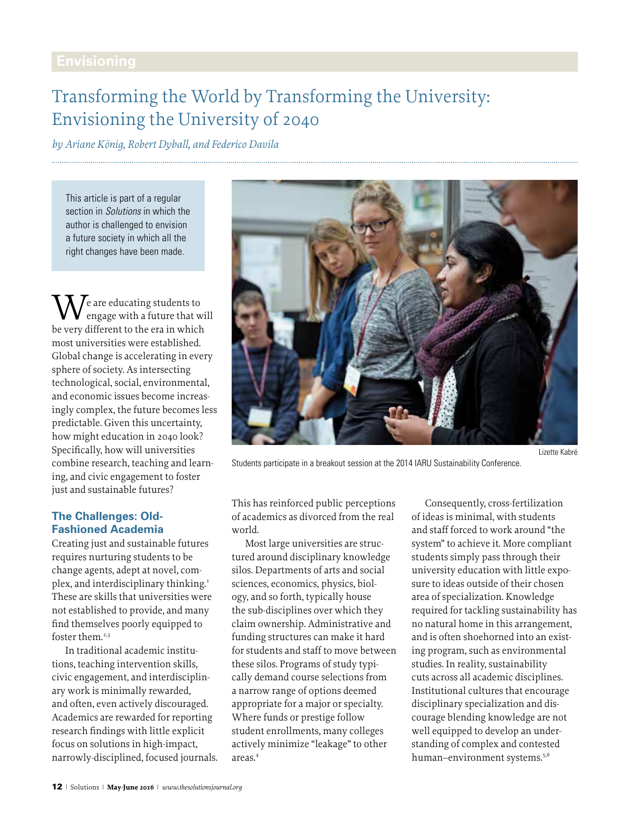# Transforming the World by Transforming the University: Envisioning the University of 2040

*by Ariane König, Robert Dyball, and Federico Davila* 

This article is part of a regular section in *Solutions* in which the author is challenged to envision a future society in which all the right changes have been made.

 $\lambda$   $\ell$  are educating students to engage with a future that will be very different to the era in which most universities were established. Global change is accelerating in every sphere of society. As intersecting technological, social, environmental, and economic issues become increasingly complex, the future becomes less predictable. Given this uncertainty, how might education in 2040 look? Specifically, how will universities combine research, teaching and learning, and civic engagement to foster just and sustainable futures?

## **The Challenges: Old-Fashioned Academia**

Creating just and sustainable futures requires nurturing students to be change agents, adept at novel, complex, and interdisciplinary thinking.<sup>1</sup> These are skills that universities were not established to provide, and many find themselves poorly equipped to foster them.<sup>2,3</sup>

In traditional academic institutions, teaching intervention skills, civic engagement, and interdisciplinary work is minimally rewarded, and often, even actively discouraged. Academics are rewarded for reporting research findings with little explicit focus on solutions in high-impact, narrowly-disciplined, focused journals.



Students participate in a breakout session at the 2014 IARU Sustainability Conference.

This has reinforced public perceptions of academics as divorced from the real world.

Most large universities are structured around disciplinary knowledge silos. Departments of arts and social sciences, economics, physics, biology, and so forth, typically house the sub-disciplines over which they claim ownership. Administrative and funding structures can make it hard for students and staff to move between these silos. Programs of study typically demand course selections from a narrow range of options deemed appropriate for a major or specialty. Where funds or prestige follow student enrollments, many colleges actively minimize "leakage" to other areas.4

Consequently, cross-fertilization of ideas is minimal, with students and staff forced to work around "the system" to achieve it. More compliant students simply pass through their university education with little exposure to ideas outside of their chosen area of specialization. Knowledge required for tackling sustainability has no natural home in this arrangement, and is often shoehorned into an existing program, such as environmental studies. In reality, sustainability cuts across all academic disciplines. Institutional cultures that encourage disciplinary specialization and discourage blending knowledge are not well equipped to develop an understanding of complex and contested human-environment systems.<sup>5,6</sup>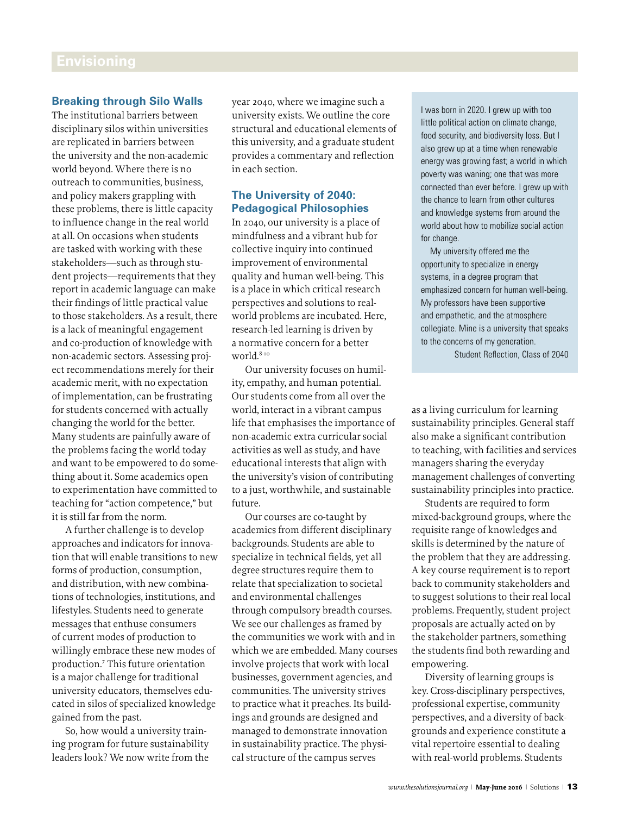### **Breaking through Silo Walls**

The institutional barriers between disciplinary silos within universities are replicated in barriers between the university and the non-academic world beyond. Where there is no outreach to communities, business, and policy makers grappling with these problems, there is little capacity to influence change in the real world at all. On occasions when students are tasked with working with these stakeholders—such as through student projects—requirements that they report in academic language can make their findings of little practical value to those stakeholders. As a result, there is a lack of meaningful engagement and co-production of knowledge with non-academic sectors. Assessing project recommendations merely for their academic merit, with no expectation of implementation, can be frustrating for students concerned with actually changing the world for the better. Many students are painfully aware of the problems facing the world today and want to be empowered to do something about it. Some academics open to experimentation have committed to teaching for "action competence," but it is still far from the norm.

A further challenge is to develop approaches and indicators for innovation that will enable transitions to new forms of production, consumption, and distribution, with new combinations of technologies, institutions, and lifestyles. Students need to generate messages that enthuse consumers of current modes of production to willingly embrace these new modes of production.7 This future orientation is a major challenge for traditional university educators, themselves educated in silos of specialized knowledge gained from the past.

So, how would a university training program for future sustainability leaders look? We now write from the year 2040, where we imagine such a university exists. We outline the core structural and educational elements of this university, and a graduate student provides a commentary and reflection in each section.

## **The University of 2040: Pedagogical Philosophies**

In 2040, our university is a place of mindfulness and a vibrant hub for collective inquiry into continued improvement of environmental quality and human well-being. This is a place in which critical research perspectives and solutions to realworld problems are incubated. Here, research-led learning is driven by a normative concern for a better world.<sup>8-10</sup>

Our university focuses on humility, empathy, and human potential. Our students come from all over the world, interact in a vibrant campus life that emphasises the importance of non-academic extra curricular social activities as well as study, and have educational interests that align with the university's vision of contributing to a just, worthwhile, and sustainable future.

Our courses are co-taught by academics from different disciplinary backgrounds. Students are able to specialize in technical fields, yet all degree structures require them to relate that specialization to societal and environmental challenges through compulsory breadth courses. We see our challenges as framed by the communities we work with and in which we are embedded. Many courses involve projects that work with local businesses, government agencies, and communities. The university strives to practice what it preaches. Its buildings and grounds are designed and managed to demonstrate innovation in sustainability practice. The physical structure of the campus serves

I was born in 2020. I grew up with too little political action on climate change, food security, and biodiversity loss. But I also grew up at a time when renewable energy was growing fast; a world in which poverty was waning; one that was more connected than ever before. I grew up with the chance to learn from other cultures and knowledge systems from around the world about how to mobilize social action for change.

My university offered me the opportunity to specialize in energy systems, in a degree program that emphasized concern for human well-being. My professors have been supportive and empathetic, and the atmosphere collegiate. Mine is a university that speaks to the concerns of my generation.

Student Reflection, Class of 2040

as a living curriculum for learning sustainability principles. General staff also make a significant contribution to teaching, with facilities and services managers sharing the everyday management challenges of converting sustainability principles into practice.

Students are required to form mixed-background groups, where the requisite range of knowledges and skills is determined by the nature of the problem that they are addressing. A key course requirement is to report back to community stakeholders and to suggest solutions to their real local problems. Frequently, student project proposals are actually acted on by the stakeholder partners, something the students find both rewarding and empowering.

Diversity of learning groups is key. Cross-disciplinary perspectives, professional expertise, community perspectives, and a diversity of backgrounds and experience constitute a vital repertoire essential to dealing with real-world problems. Students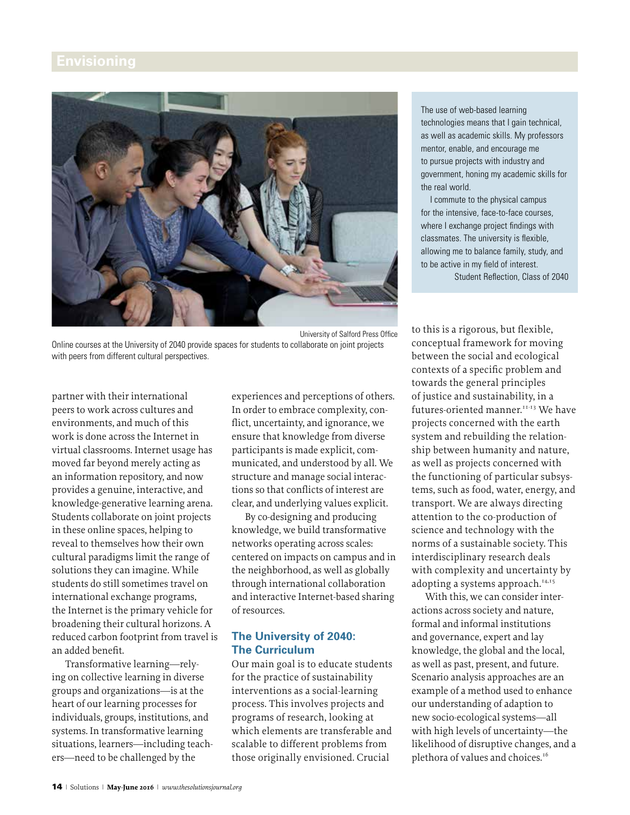

Online courses at the University of 2040 provide spaces for students to collaborate on joint projects with peers from different cultural perspectives.

partner with their international peers to work across cultures and environments, and much of this work is done across the Internet in virtual classrooms. Internet usage has moved far beyond merely acting as an information repository, and now provides a genuine, interactive, and knowledge-generative learning arena. Students collaborate on joint projects in these online spaces, helping to reveal to themselves how their own cultural paradigms limit the range of solutions they can imagine. While students do still sometimes travel on international exchange programs, the Internet is the primary vehicle for broadening their cultural horizons. A reduced carbon footprint from travel is an added benefit.

Transformative learning—relying on collective learning in diverse groups and organizations—is at the heart of our learning processes for individuals, groups, institutions, and systems. In transformative learning situations, learners—including teachers—need to be challenged by the

experiences and perceptions of others. In order to embrace complexity, conflict, uncertainty, and ignorance, we ensure that knowledge from diverse participants is made explicit, communicated, and understood by all. We structure and manage social interactions so that conflicts of interest are clear, and underlying values explicit.

By co-designing and producing knowledge, we build transformative networks operating across scales: centered on impacts on campus and in the neighborhood, as well as globally through international collaboration and interactive Internet-based sharing of resources.

### **The University of 2040: The Curriculum**

Our main goal is to educate students for the practice of sustainability interventions as a social-learning process. This involves projects and programs of research, looking at which elements are transferable and scalable to different problems from those originally envisioned. Crucial

The use of web-based learning technologies means that I gain technical, as well as academic skills. My professors mentor, enable, and encourage me to pursue projects with industry and government, honing my academic skills for the real world.

I commute to the physical campus for the intensive, face-to-face courses, where I exchange project findings with classmates. The university is flexible, allowing me to balance family, study, and to be active in my field of interest. Student Reflection, Class of 2040

to this is a rigorous, but flexible, conceptual framework for moving between the social and ecological contexts of a specific problem and towards the general principles of justice and sustainability, in a futures-oriented manner.<sup>11-13</sup> We have projects concerned with the earth system and rebuilding the relationship between humanity and nature, as well as projects concerned with the functioning of particular subsystems, such as food, water, energy, and transport. We are always directing attention to the co-production of science and technology with the norms of a sustainable society. This interdisciplinary research deals with complexity and uncertainty by adopting a systems approach.<sup>14,15</sup>

With this, we can consider interactions across society and nature, formal and informal institutions and governance, expert and lay knowledge, the global and the local, as well as past, present, and future. Scenario analysis approaches are an example of a method used to enhance our understanding of adaption to new socio-ecological systems—all with high levels of uncertainty—the likelihood of disruptive changes, and a plethora of values and choices.<sup>16</sup>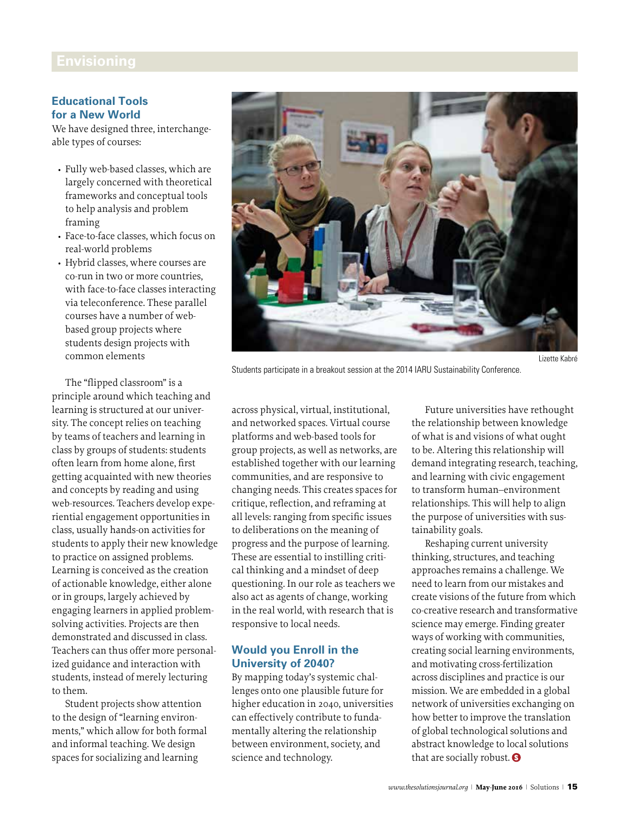#### **Educational Tools for a New World**

We have designed three, interchangeable types of courses:

- Fully web-based classes, which are largely concerned with theoretical frameworks and conceptual tools to help analysis and problem framing
- Face-to-face classes, which focus on real-world problems
- Hybrid classes, where courses are co-run in two or more countries, with face-to-face classes interacting via teleconference. These parallel courses have a number of webbased group projects where students design projects with common elements

The "flipped classroom" is a principle around which teaching and learning is structured at our university. The concept relies on teaching by teams of teachers and learning in class by groups of students: students often learn from home alone, first getting acquainted with new theories and concepts by reading and using web-resources. Teachers develop experiential engagement opportunities in class, usually hands-on activities for students to apply their new knowledge to practice on assigned problems. Learning is conceived as the creation of actionable knowledge, either alone or in groups, largely achieved by engaging learners in applied problemsolving activities. Projects are then demonstrated and discussed in class. Teachers can thus offer more personalized guidance and interaction with students, instead of merely lecturing to them.

Student projects show attention to the design of "learning environments," which allow for both formal and informal teaching. We design spaces for socializing and learning



Students participate in a breakout session at the 2014 IARU Sustainability Conference.

across physical, virtual, institutional, and networked spaces. Virtual course platforms and web-based tools for group projects, as well as networks, are established together with our learning communities, and are responsive to changing needs. This creates spaces for critique, reflection, and reframing at all levels: ranging from specific issues to deliberations on the meaning of progress and the purpose of learning. These are essential to instilling critical thinking and a mindset of deep questioning. In our role as teachers we also act as agents of change, working in the real world, with research that is responsive to local needs.

## **Would you Enroll in the University of 2040?**

By mapping today's systemic challenges onto one plausible future for higher education in 2040, universities can effectively contribute to fundamentally altering the relationship between environment, society, and science and technology.

Future universities have rethought the relationship between knowledge of what is and visions of what ought to be. Altering this relationship will demand integrating research, teaching, and learning with civic engagement to transform human–environment relationships. This will help to align the purpose of universities with sustainability goals.

Reshaping current university thinking, structures, and teaching approaches remains a challenge. We need to learn from our mistakes and create visions of the future from which co-creative research and transformative science may emerge. Finding greater ways of working with communities, creating social learning environments, and motivating cross-fertilization across disciplines and practice is our mission. We are embedded in a global network of universities exchanging on how better to improve the translation of global technological solutions and abstract knowledge to local solutions that are socially robust.